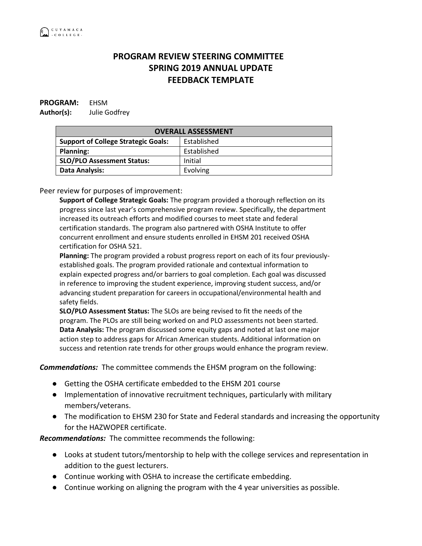## **PROGRAM REVIEW STEERING COMMITTEE SPRING 2019 ANNUAL UPDATE FEEDBACK TEMPLATE**

## **PROGRAM:** EHSM **Author(s):** Julie Godfrey

| <b>OVERALL ASSESSMENT</b>                  |             |
|--------------------------------------------|-------------|
| <b>Support of College Strategic Goals:</b> | Established |
| <b>Planning:</b>                           | Established |
| <b>SLO/PLO Assessment Status:</b>          | Initial     |
| Data Analysis:                             | Evolving    |

Peer review for purposes of improvement:

**Support of College Strategic Goals:** The program provided a thorough reflection on its progress since last year's comprehensive program review. Specifically, the department increased its outreach efforts and modified courses to meet state and federal certification standards. The program also partnered with OSHA Institute to offer concurrent enrollment and ensure students enrolled in EHSM 201 received OSHA certification for OSHA 521.

**Planning:** The program provided a robust progress report on each of its four previouslyestablished goals. The program provided rationale and contextual information to explain expected progress and/or barriers to goal completion. Each goal was discussed in reference to improving the student experience, improving student success, and/or advancing student preparation for careers in occupational/environmental health and safety fields.

**SLO/PLO Assessment Status:** The SLOs are being revised to fit the needs of the program. The PLOs are still being worked on and PLO assessments not been started. **Data Analysis:** The program discussed some equity gaps and noted at last one major action step to address gaps for African American students. Additional information on success and retention rate trends for other groups would enhance the program review.

*Commendations:* The committee commends the EHSM program on the following:

- Getting the OSHA certificate embedded to the EHSM 201 course
- Implementation of innovative recruitment techniques, particularly with military members/veterans.
- The modification to EHSM 230 for State and Federal standards and increasing the opportunity for the HAZWOPER certificate.

*Recommendations:* The committee recommends the following:

- Looks at student tutors/mentorship to help with the college services and representation in addition to the guest lecturers.
- Continue working with OSHA to increase the certificate embedding.
- Continue working on aligning the program with the 4 year universities as possible.